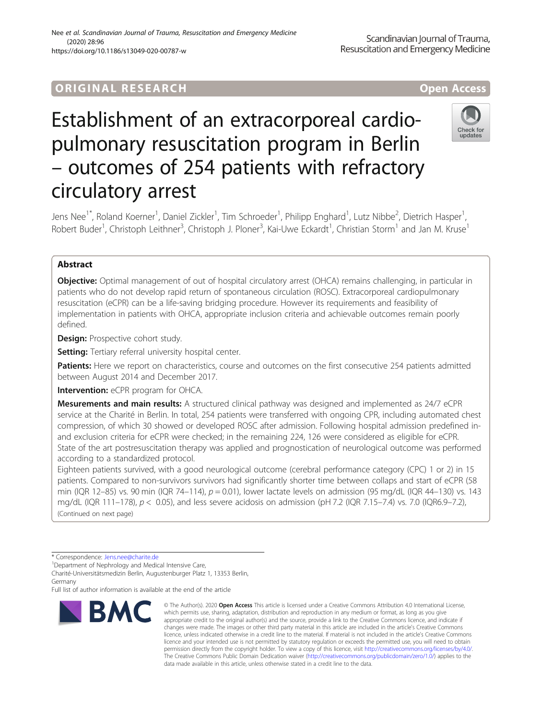# ORIGINA L R E S EA RCH Open Access

# Establishment of an extracorporeal cardiopulmonary resuscitation program in Berlin – outcomes of 254 patients with refractory circulatory arrest



Jens Nee<sup>1\*</sup>, Roland Koerner<sup>1</sup>, Daniel Zickler<sup>1</sup>, Tim Schroeder<sup>1</sup>, Philipp Enghard<sup>1</sup>, Lutz Nibbe<sup>2</sup>, Dietrich Hasper<sup>1</sup> , Robert Buder<sup>1</sup>, Christoph Leithner<sup>3</sup>, Christoph J. Ploner<sup>3</sup>, Kai-Uwe Eckardt<sup>1</sup>, Christian Storm<sup>1</sup> and Jan M. Kruse<sup>1</sup>

# Abstract

**Objective:** Optimal management of out of hospital circulatory arrest (OHCA) remains challenging, in particular in patients who do not develop rapid return of spontaneous circulation (ROSC). Extracorporeal cardiopulmonary resuscitation (eCPR) can be a life-saving bridging procedure. However its requirements and feasibility of implementation in patients with OHCA, appropriate inclusion criteria and achievable outcomes remain poorly defined.

**Design:** Prospective cohort study.

Setting: Tertiary referral university hospital center.

Patients: Here we report on characteristics, course and outcomes on the first consecutive 254 patients admitted between August 2014 and December 2017.

Intervention: eCPR program for OHCA.

Mesurements and main results: A structured clinical pathway was designed and implemented as 24/7 eCPR service at the Charité in Berlin. In total, 254 patients were transferred with ongoing CPR, including automated chest compression, of which 30 showed or developed ROSC after admission. Following hospital admission predefined inand exclusion criteria for eCPR were checked; in the remaining 224, 126 were considered as eligible for eCPR. State of the art postresuscitation therapy was applied and prognostication of neurological outcome was performed according to a standardized protocol.

Eighteen patients survived, with a good neurological outcome (cerebral performance category (CPC) 1 or 2) in 15 patients. Compared to non-survivors survivors had significantly shorter time between collaps and start of eCPR (58 min (IQR 12–85) vs. 90 min (IQR 74–114),  $p = 0.01$ ), lower lactate levels on admission (95 mg/dL (IQR 44–130) vs. 143 mg/dL (IQR 111–178),  $p < 0.05$ ), and less severe acidosis on admission (pH 7.2 (IQR 7.15–7.4) vs. 7.0 (IQR6.9–7.2), (Continued on next page)

<sup>1</sup>Department of Nephrology and Medical Intensive Care,

Charité-Universitätsmedizin Berlin, Augustenburger Platz 1, 13353 Berlin, Germany

Full list of author information is available at the end of the article



<sup>©</sup> The Author(s), 2020 **Open Access** This article is licensed under a Creative Commons Attribution 4.0 International License, which permits use, sharing, adaptation, distribution and reproduction in any medium or format, as long as you give appropriate credit to the original author(s) and the source, provide a link to the Creative Commons licence, and indicate if changes were made. The images or other third party material in this article are included in the article's Creative Commons licence, unless indicated otherwise in a credit line to the material. If material is not included in the article's Creative Commons licence and your intended use is not permitted by statutory regulation or exceeds the permitted use, you will need to obtain permission directly from the copyright holder. To view a copy of this licence, visit [http://creativecommons.org/licenses/by/4.0/.](http://creativecommons.org/licenses/by/4.0/) The Creative Commons Public Domain Dedication waiver [\(http://creativecommons.org/publicdomain/zero/1.0/](http://creativecommons.org/publicdomain/zero/1.0/)) applies to the data made available in this article, unless otherwise stated in a credit line to the data.

<sup>\*</sup> Correspondence: [Jens.nee@charite.de](mailto:Jens.nee@charite.de) <sup>1</sup>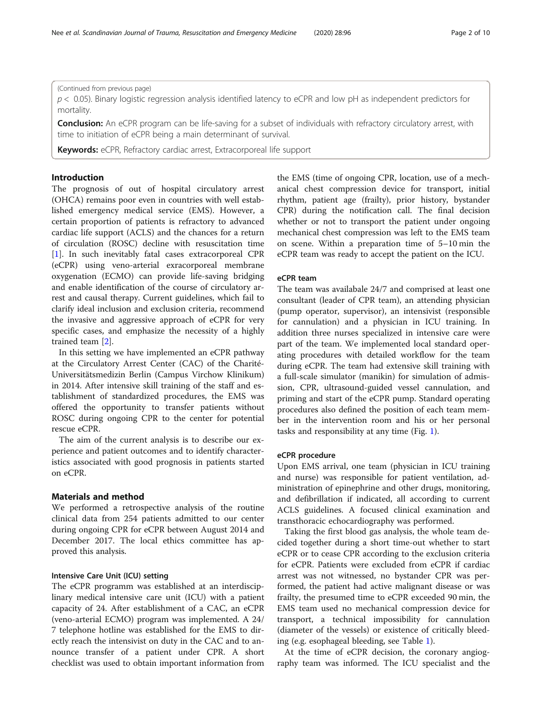# (Continued from previous page)

 $p$  < 0.05). Binary logistic regression analysis identified latency to eCPR and low pH as independent predictors for mortality.

**Conclusion:** An eCPR program can be life-saving for a subset of individuals with refractory circulatory arrest, with time to initiation of eCPR being a main determinant of survival.

Keywords: eCPR, Refractory cardiac arrest, Extracorporeal life support

# Introduction

The prognosis of out of hospital circulatory arrest (OHCA) remains poor even in countries with well established emergency medical service (EMS). However, a certain proportion of patients is refractory to advanced cardiac life support (ACLS) and the chances for a return of circulation (ROSC) decline with resuscitation time [[1\]](#page-8-0). In such inevitably fatal cases extracorporeal CPR (eCPR) using veno-arterial exracorporeal membrane oxygenation (ECMO) can provide life-saving bridging and enable identification of the course of circulatory arrest and causal therapy. Current guidelines, which fail to clarify ideal inclusion and exclusion criteria, recommend the invasive and aggressive approach of eCPR for very specific cases, and emphasize the necessity of a highly trained team [[2\]](#page-8-0).

In this setting we have implemented an eCPR pathway at the Circulatory Arrest Center (CAC) of the Charité-Universitätsmedizin Berlin (Campus Virchow Klinikum) in 2014. After intensive skill training of the staff and establishment of standardized procedures, the EMS was offered the opportunity to transfer patients without ROSC during ongoing CPR to the center for potential rescue eCPR.

The aim of the current analysis is to describe our experience and patient outcomes and to identify characteristics associated with good prognosis in patients started on eCPR.

# Materials and method

We performed a retrospective analysis of the routine clinical data from 254 patients admitted to our center during ongoing CPR for eCPR between August 2014 and December 2017. The local ethics committee has approved this analysis.

# Intensive Care Unit (ICU) setting

The eCPR programm was established at an interdisciplinary medical intensive care unit (ICU) with a patient capacity of 24. After establishment of a CAC, an eCPR (veno-arterial ECMO) program was implemented. A 24/ 7 telephone hotline was established for the EMS to directly reach the intensivist on duty in the CAC and to announce transfer of a patient under CPR. A short checklist was used to obtain important information from the EMS (time of ongoing CPR, location, use of a mechanical chest compression device for transport, initial rhythm, patient age (frailty), prior history, bystander CPR) during the notification call. The final decision whether or not to transport the patient under ongoing mechanical chest compression was left to the EMS team on scene. Within a preparation time of 5–10 min the eCPR team was ready to accept the patient on the ICU.

# eCPR team

The team was availabale 24/7 and comprised at least one consultant (leader of CPR team), an attending physician (pump operator, supervisor), an intensivist (responsible for cannulation) and a physician in ICU training. In addition three nurses specialized in intensive care were part of the team. We implemented local standard operating procedures with detailed workflow for the team during eCPR. The team had extensive skill training with a full-scale simulator (manikin) for simulation of admission, CPR, ultrasound-guided vessel cannulation, and priming and start of the eCPR pump. Standard operating procedures also defined the position of each team member in the intervention room and his or her personal tasks and responsibility at any time (Fig. [1](#page-2-0)).

# eCPR procedure

Upon EMS arrival, one team (physician in ICU training and nurse) was responsible for patient ventilation, administration of epinephrine and other drugs, monitoring, and defibrillation if indicated, all according to current ACLS guidelines. A focused clinical examination and transthoracic echocardiography was performed.

Taking the first blood gas analysis, the whole team decided together during a short time-out whether to start eCPR or to cease CPR according to the exclusion criteria for eCPR. Patients were excluded from eCPR if cardiac arrest was not witnessed, no bystander CPR was performed, the patient had active malignant disease or was frailty, the presumed time to eCPR exceeded 90 min, the EMS team used no mechanical compression device for transport, a technical impossibility for cannulation (diameter of the vessels) or existence of critically bleeding (e.g. esophageal bleeding, see Table [1\)](#page-2-0).

At the time of eCPR decision, the coronary angiography team was informed. The ICU specialist and the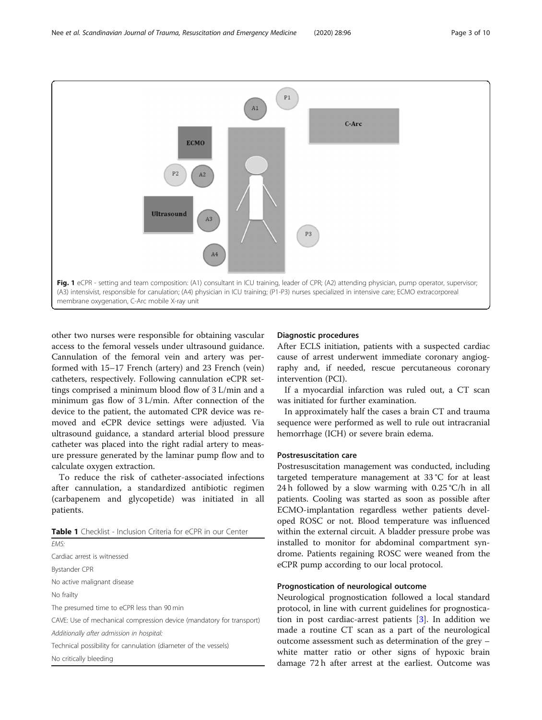<span id="page-2-0"></span>

other two nurses were responsible for obtaining vascular access to the femoral vessels under ultrasound guidance. Cannulation of the femoral vein and artery was performed with 15–17 French (artery) and 23 French (vein) catheters, respectively. Following cannulation eCPR settings comprised a minimum blood flow of 3 L/min and a minimum gas flow of 3 L/min. After connection of the device to the patient, the automated CPR device was removed and eCPR device settings were adjusted. Via ultrasound guidance, a standard arterial blood pressure catheter was placed into the right radial artery to measure pressure generated by the laminar pump flow and to calculate oxygen extraction.

To reduce the risk of catheter-associated infections after cannulation, a standardized antibiotic regimen (carbapenem and glycopetide) was initiated in all patients.

| <b>Table 1</b> Checklist - Inclusion Criteria for eCPR in our Center |  |
|----------------------------------------------------------------------|--|
|----------------------------------------------------------------------|--|

EMS: Cardiac arrest is witnessed Bystander CPR No active malignant disease No frailty The presumed time to eCPR less than 90 min CAVE: Use of mechanical compression device (mandatory for transport) Additionally after admission in hospital: Technical possibility for cannulation (diameter of the vessels) No critically bleeding

# Diagnostic procedures

After ECLS initiation, patients with a suspected cardiac cause of arrest underwent immediate coronary angiography and, if needed, rescue percutaneous coronary intervention (PCI).

If a myocardial infarction was ruled out, a CT scan was initiated for further examination.

In approximately half the cases a brain CT and trauma sequence were performed as well to rule out intracranial hemorrhage (ICH) or severe brain edema.

# Postresuscitation care

Postresuscitation management was conducted, including targeted temperature management at 33 °C for at least 24 h followed by a slow warming with  $0.25 \degree C/h$  in all patients. Cooling was started as soon as possible after ECMO-implantation regardless wether patients developed ROSC or not. Blood temperature was influenced within the external circuit. A bladder pressure probe was installed to monitor for abdominal compartment syndrome. Patients regaining ROSC were weaned from the eCPR pump according to our local protocol.

# Prognostication of neurological outcome

Neurological prognostication followed a local standard protocol, in line with current guidelines for prognostication in post cardiac-arrest patients [[3\]](#page-8-0). In addition we made a routine CT scan as a part of the neurological outcome assessment such as determination of the grey – white matter ratio or other signs of hypoxic brain damage 72 h after arrest at the earliest. Outcome was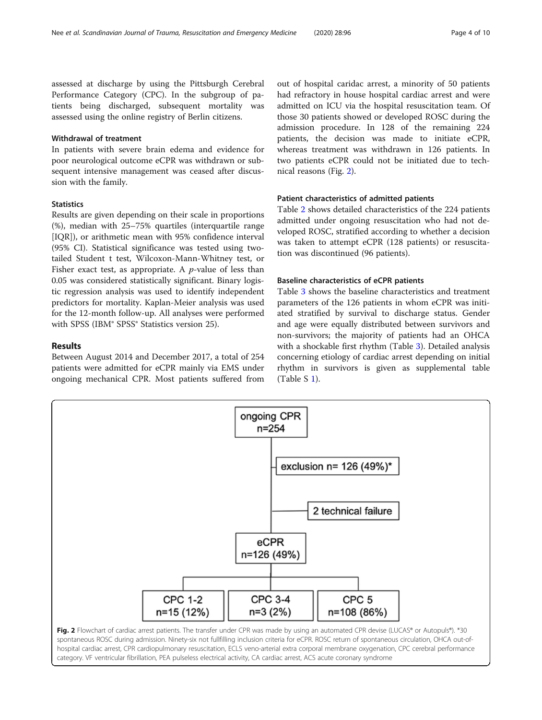assessed at discharge by using the Pittsburgh Cerebral Performance Category (CPC). In the subgroup of patients being discharged, subsequent mortality was assessed using the online registry of Berlin citizens.

# Withdrawal of treatment

In patients with severe brain edema and evidence for poor neurological outcome eCPR was withdrawn or subsequent intensive management was ceased after discussion with the family.

# **Statistics**

Results are given depending on their scale in proportions (%), median with 25–75% quartiles (interquartile range [IQR]), or arithmetic mean with 95% confidence interval (95% CI). Statistical significance was tested using twotailed Student t test, Wilcoxon-Mann-Whitney test, or Fisher exact test, as appropriate. A  $p$ -value of less than 0.05 was considered statistically significant. Binary logistic regression analysis was used to identify independent predictors for mortality. Kaplan-Meier analysis was used for the 12-month follow-up. All analyses were performed with SPSS (IBM® SPSS® Statistics version 25).

# Results

Between August 2014 and December 2017, a total of 254 patients were admitted for eCPR mainly via EMS under ongoing mechanical CPR. Most patients suffered from

out of hospital caridac arrest, a minority of 50 patients had refractory in house hospital cardiac arrest and were admitted on ICU via the hospital resuscitation team. Of those 30 patients showed or developed ROSC during the admission procedure. In 128 of the remaining 224 patients, the decision was made to initiate eCPR, whereas treatment was withdrawn in 126 patients. In two patients eCPR could not be initiated due to technical reasons (Fig. 2).

# Patient characteristics of admitted patients

Table [2](#page-4-0) shows detailed characteristics of the 224 patients admitted under ongoing resuscitation who had not developed ROSC, stratified according to whether a decision was taken to attempt eCPR (128 patients) or resuscitation was discontinued (96 patients).

# Baseline characteristics of eCPR patients

Table [3](#page-5-0) shows the baseline characteristics and treatment parameters of the 126 patients in whom eCPR was initiated stratified by survival to discharge status. Gender and age were equally distributed between survivors and non-survivors; the majority of patients had an OHCA with a shockable first rhythm (Table [3](#page-5-0)). Detailed analysis concerning etiology of cardiac arrest depending on initial rhythm in survivors is given as supplemental table (Table S [1\)](#page-8-0).



hospital cardiac arrest, CPR cardiopulmonary resuscitation, ECLS veno-arterial extra corporal membrane oxygenation, CPC cerebral performance category. VF ventricular fibrillation, PEA pulseless electrical activity, CA cardiac arrest, ACS acute coronary syndrome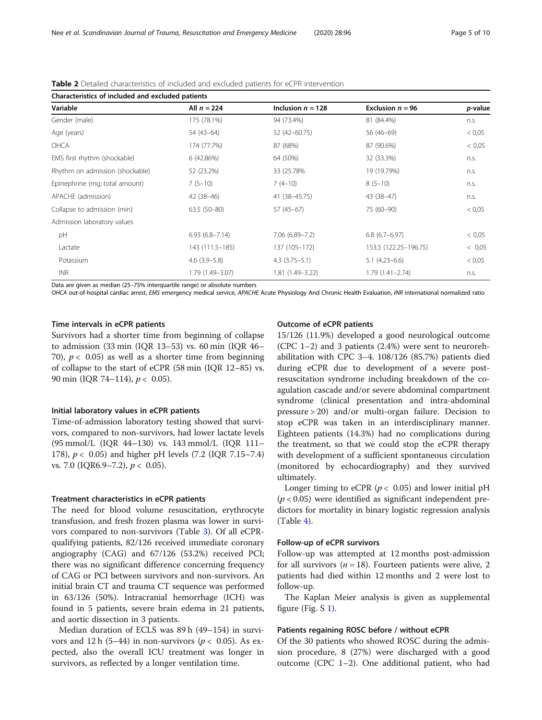| Characteristics of included and excluded patients |                     |                     |                       |         |
|---------------------------------------------------|---------------------|---------------------|-----------------------|---------|
| Variable                                          | All $n = 224$       | Inclusion $n = 128$ | Exclusion $n = 96$    | p-value |
| Gender (male)                                     | 175 (78.1%)         | 94 (73.4%)          | 81 (84.4%)            | n.s.    |
| Age (years)                                       | 54 (43-64)          | 52 (42-60.75)       | 56 (46-69)            | < 0.05  |
| OHCA                                              | 174 (77.7%)         | 87 (68%)            | 87 (90.6%)            | < 0.05  |
| EMS first rhythm (shockable)                      | 6 (42.86%)          | 64 (50%)            | 32 (33.3%)            | n.s.    |
| Rhythm on admission (shockable)                   | 52 (23.2%)          | 33 (25.78%)         | 19 (19.79%)           | n.s.    |
| Epinephrine (mg; total amount)                    | $7(5-10)$           | $7(4-10)$           | $8(5-10)$             | n.s.    |
| APACHE (admission)                                | $42(38-46)$         | 41 (38-45.75)       | 43 (38-47)            | n.s.    |
| Collapse to admission (min)                       | $63.5(50-80)$       | $57(45-67)$         | 75 (60-90)            | < 0.05  |
| Admission laboratory values                       |                     |                     |                       |         |
| pH                                                | $6.93(6.8 - 7.14)$  | $7.06(6.89 - 7.2)$  | $6.8(6.7-6.97)$       | < 0.05  |
| Lactate                                           | 143 (111.5–185)     | 137 (105-172)       | 153.5 (122.25-196.75) | < 0.05  |
| Potassium                                         | $4.6$ $(3.9 - 5.8)$ | $4.3(3.75-5.1)$     | $5.1(4.23 - 6.6)$     | < 0.05  |
| <b>INR</b>                                        | 1.79 (1.49–3.07)    | 1.81 (1.49-3.22)    | $1.79(1.41 - 2.74)$   | n.s.    |

<span id="page-4-0"></span>Table 2 Detailed characteristics of included and excluded patients for eCPR intervention

Data are given as median (25–75% interquartile range) or absolute numbers

OHCA out-of-hospital cardiac arrest, EMS emergency medical service, APACHE Acute Physiology And Chronic Health Evaluation, INR international normalized ratio

# Time intervals in eCPR patients

Survivors had a shorter time from beginning of collapse to admission (33 min (IQR 13–53) vs. 60 min (IQR 46– 70),  $p < 0.05$  as well as a shorter time from beginning of collapse to the start of eCPR (58 min (IQR 12–85) vs. 90 min (IOR 74–114),  $p < 0.05$ ).

# Initial laboratory values in eCPR patients

Time-of-admission laboratory testing showed that survivors, compared to non-survivors, had lower lactate levels (95 mmol/L (IQR 44–130) vs. 143 mmol/L (IQR 111– 178),  $p < 0.05$ ) and higher pH levels (7.2 (IQR 7.15–7.4) vs. 7.0 (IQR6.9–7.2),  $p < 0.05$ ).

# Treatment characteristics in eCPR patients

The need for blood volume resuscitation, erythrocyte transfusion, and fresh frozen plasma was lower in survivors compared to non-survivors (Table [3](#page-5-0)). Of all eCPRqualifying patients, 82/126 received immediate coronary angiography (CAG) and 67/126 (53.2%) received PCI; there was no significant difference concerning frequency of CAG or PCI between survivors and non-survivors. An initial brain CT and trauma CT sequence was performed in 63/126 (50%). Intracranial hemorrhage (ICH) was found in 5 patients, severe brain edema in 21 patients, and aortic dissection in 3 patients.

Median duration of ECLS was 89 h (49–154) in survivors and 12 h (5–44) in non-survivors ( $p < 0.05$ ). As expected, also the overall ICU treatment was longer in survivors, as reflected by a longer ventilation time.

# Outcome of eCPR patients

15/126 (11.9%) developed a good neurological outcome (CPC 1–2) and 3 patients (2.4%) were sent to neurorehabilitation with CPC 3–4. 108/126 (85.7%) patients died during eCPR due to development of a severe postresuscitation syndrome including breakdown of the coagulation cascade and/or severe abdominal compartment syndrome (clinical presentation and intra-abdominal pressure > 20) and/or multi-organ failure. Decision to stop eCPR was taken in an interdisciplinary manner. Eighteen patients (14.3%) had no complications during the treatment, so that we could stop the eCPR therapy with development of a sufficient spontaneous circulation (monitored by echocardiography) and they survived ultimately.

Longer timing to eCPR ( $p < 0.05$ ) and lower initial pH  $(p < 0.05)$  were identified as significant independent predictors for mortality in binary logistic regression analysis (Table [4\)](#page-6-0).

# Follow-up of eCPR survivors

Follow-up was attempted at 12 months post-admission for all survivors ( $n = 18$ ). Fourteen patients were alive, 2 patients had died within 12 months and 2 were lost to follow-up.

The Kaplan Meier analysis is given as supplemental figure (Fig.  $S_1$ ).

# Patients regaining ROSC before / without eCPR

Of the 30 patients who showed ROSC during the admission procedure, 8 (27%) were discharged with a good outcome (CPC 1–2). One additional patient, who had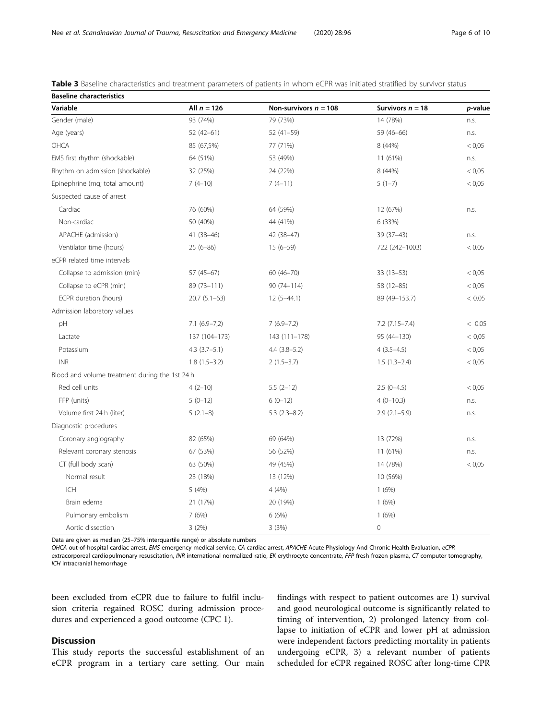| <b>Baseline characteristics</b>                |                   |                         |                      |         |
|------------------------------------------------|-------------------|-------------------------|----------------------|---------|
| Variable                                       | All $n = 126$     | Non-survivors $n = 108$ | Survivors $n = 18$   | p-value |
| Gender (male)                                  | 93 (74%)          | 79 (73%)                | 14 (78%)             | n.s.    |
| Age (years)                                    | $52(42-61)$       | $52(41-59)$             | 59 (46-66)           | n.s.    |
| OHCA                                           | 85 (67,5%)        | 77 (71%)                | 8 (44%)              | < 0.05  |
| EMS first rhythm (shockable)                   | 64 (51%)          | 53 (49%)                | 11 (61%)             | n.s.    |
| Rhythm on admission (shockable)                | 32 (25%)          | 24 (22%)                | 8 (44%)              | < 0.05  |
| Epinephrine (mg; total amount)                 | $7(4-10)$         | $7(4-11)$               | $5(1-7)$             | < 0.05  |
| Suspected cause of arrest                      |                   |                         |                      |         |
| Cardiac                                        | 76 (60%)          | 64 (59%)                | 12 (67%)             | n.s.    |
| Non-cardiac                                    | 50 (40%)          | 44 (41%)                | 6 (33%)              |         |
| APACHE (admission)                             | 41 (38-46)        | 42 (38-47)              | $39(37-43)$          | n.s.    |
| Ventilator time (hours)                        | $25(6-86)$        | $15(6-59)$              | 722 (242-1003)       | < 0.05  |
| eCPR related time intervals                    |                   |                         |                      |         |
| Collapse to admission (min)                    | $57(45-67)$       | $60(46 - 70)$           | $33(13-53)$          | < 0.05  |
| Collapse to eCPR (min)                         | 89 (73-111)       | $90(74 - 114)$          | 58 (12-85)           | < 0.05  |
| ECPR duration (hours)                          | $20.7(5.1-63)$    | $12(5-44.1)$            | 89 (49-153.7)        | < 0.05  |
| Admission laboratory values                    |                   |                         |                      |         |
| pH                                             | $7.1(6.9-7,2)$    | $7(6.9 - 7.2)$          | $7.2$ $(7.15 - 7.4)$ | < 0.05  |
| Lactate                                        | 137 (104-173)     | 143 (111-178)           | 95 (44-130)          | < 0.05  |
| Potassium                                      | $4.3$ $(3.7-5.1)$ | $4.4(3.8-5.2)$          | $4(3.5-4.5)$         | < 0.05  |
| <b>INR</b>                                     | $1.8(1.5-3.2)$    | $2(1.5-3.7)$            | $1.5(1.3-2.4)$       | < 0.05  |
| Blood and volume treatment during the 1st 24 h |                   |                         |                      |         |
| Red cell units                                 | $4(2-10)$         | $5.5(2-12)$             | $2.5(0-4.5)$         | < 0.05  |
| FFP (units)                                    | $5(0-12)$         | $6(0-12)$               | $4(0-10.3)$          | n.s.    |
| Volume first 24 h (liter)                      | $5(2.1-8)$        | $5.3(2.3-8.2)$          | $2.9(2.1-5.9)$       | n.s.    |
| Diagnostic procedures                          |                   |                         |                      |         |
| Coronary angiography                           | 82 (65%)          | 69 (64%)                | 13 (72%)             | n.s.    |
| Relevant coronary stenosis                     | 67 (53%)          | 56 (52%)                | 11 (61%)             | n.s.    |
| CT (full body scan)                            | 63 (50%)          | 49 (45%)                | 14 (78%)             | < 0.05  |
| Normal result                                  | 23 (18%)          | 13 (12%)                | 10 (56%)             |         |
| ICH                                            | 5 (4%)            | 4 (4%)                  | 1(6%)                |         |
| Brain edema                                    | 21 (17%)          | 20 (19%)                | 1(6%)                |         |
| Pulmonary embolism                             | 7(6%)             | 6(6%)                   | 1(6%)                |         |
| Aortic dissection                              | 3(2%)             | 3(3%)                   | $\mathbf 0$          |         |

<span id="page-5-0"></span>

| <b>Table 3</b> Baseline characteristics and treatment parameters of patients in whom eCPR was initiated stratified by survivor status |  |  |  |  |
|---------------------------------------------------------------------------------------------------------------------------------------|--|--|--|--|
|---------------------------------------------------------------------------------------------------------------------------------------|--|--|--|--|

Data are given as median (25–75% interquartile range) or absolute numbers

OHCA out-of-hospital cardiac arrest, EMS emergency medical service, CA cardiac arrest, APACHE Acute Physiology And Chronic Health Evaluation, eCPR

extracorporeal cardiopulmonary resuscitation, INR international normalized ratio, EK erythrocyte concentrate, FFP fresh frozen plasma, CT computer tomography, ICH intracranial hemorrhage

been excluded from eCPR due to failure to fulfil inclusion criteria regained ROSC during admission procedures and experienced a good outcome (CPC 1).

# **Discussion**

This study reports the successful establishment of an eCPR program in a tertiary care setting. Our main findings with respect to patient outcomes are 1) survival and good neurological outcome is significantly related to timing of intervention, 2) prolonged latency from collapse to initiation of eCPR and lower pH at admission were independent factors predicting mortality in patients undergoing eCPR, 3) a relevant number of patients scheduled for eCPR regained ROSC after long-time CPR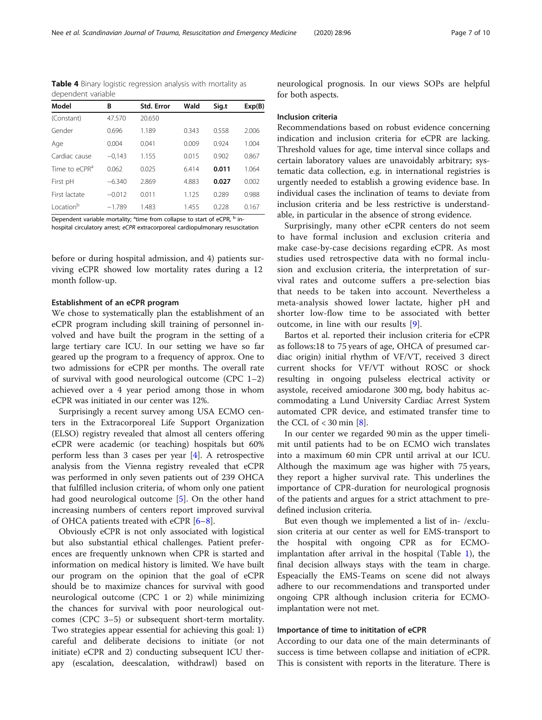<span id="page-6-0"></span>Table 4 Binary logistic regression analysis with mortality as dependent variable

| Model                     | В        | Std. Error | Wald  | Sig.t | Exp(B) |
|---------------------------|----------|------------|-------|-------|--------|
| (Constant)                | 47.570   | 20.650     |       |       |        |
| Gender                    | 0.696    | 1.189      | 0.343 | 0.558 | 2.006  |
| Age                       | 0.004    | 0.041      | 0.009 | 0.924 | 1.004  |
| Cardiac cause             | $-0.143$ | 1.155      | 0.015 | 0.902 | 0.867  |
| Time to eCPR <sup>a</sup> | 0.062    | 0.025      | 6.414 | 0.011 | 1.064  |
| First pH                  | $-6.340$ | 2.869      | 4.883 | 0.027 | 0.002  |
| First lactate             | $-0.012$ | 0.011      | 1.125 | 0.289 | 0.988  |
| Location <sup>b</sup>     | $-1.789$ | 1.483      | 1.455 | 0.228 | 0.167  |

Dependent variable mortality; <sup>a</sup>time from collapse to start of eCPR, <sup>b</sup> inhospital circulatory arrest; eCPR extracorporeal cardiopulmonary resuscitation

before or during hospital admission, and 4) patients surviving eCPR showed low mortality rates during a 12 month follow-up.

# Establishment of an eCPR program

We chose to systematically plan the establishment of an eCPR program including skill training of personnel involved and have built the program in the setting of a large tertiary care ICU. In our setting we have so far geared up the program to a frequency of approx. One to two admissions for eCPR per months. The overall rate of survival with good neurological outcome (CPC 1–2) achieved over a 4 year period among those in whom eCPR was initiated in our center was 12%.

Surprisingly a recent survey among USA ECMO centers in the Extracorporeal Life Support Organization (ELSO) registry revealed that almost all centers offering eCPR were academic (or teaching) hospitals but 60% perform less than 3 cases per year [\[4](#page-8-0)]. A retrospective analysis from the Vienna registry revealed that eCPR was performed in only seven patients out of 239 OHCA that fulfilled inclusion criteria, of whom only one patient had good neurological outcome [[5](#page-9-0)]. On the other hand increasing numbers of centers report improved survival of OHCA patients treated with eCPR [\[6](#page-9-0)–[8](#page-9-0)].

Obviously eCPR is not only associated with logistical but also substantial ethical challenges. Patient preferences are frequently unknown when CPR is started and information on medical history is limited. We have built our program on the opinion that the goal of eCPR should be to maximize chances for survival with good neurological outcome (CPC 1 or 2) while minimizing the chances for survival with poor neurological outcomes (CPC 3–5) or subsequent short-term mortality. Two strategies appear essential for achieving this goal: 1) careful and deliberate decisions to initiate (or not initiate) eCPR and 2) conducting subsequent ICU therapy (escalation, deescalation, withdrawl) based on neurological prognosis. In our views SOPs are helpful for both aspects.

#### Inclusion criteria

Recommendations based on robust evidence concerning indication and inclusion criteria for eCPR are lacking. Threshold values for age, time interval since collaps and certain laboratory values are unavoidably arbitrary; systematic data collection, e.g. in international registries is urgently needed to establish a growing evidence base. In individual cases the inclination of teams to deviate from inclusion criteria and be less restrictive is understandable, in particular in the absence of strong evidence.

Surprisingly, many other eCPR centers do not seem to have formal inclusion and exclusion criteria and make case-by-case decisions regarding eCPR. As most studies used retrospective data with no formal inclusion and exclusion criteria, the interpretation of survival rates and outcome suffers a pre-selection bias that needs to be taken into account. Nevertheless a meta-analysis showed lower lactate, higher pH and shorter low-flow time to be associated with better outcome, in line with our results [\[9](#page-9-0)].

Bartos et al. reported their inclusion criteria for eCPR as follows:18 to 75 years of age, OHCA of presumed cardiac origin) initial rhythm of VF/VT, received 3 direct current shocks for VF/VT without ROSC or shock resulting in ongoing pulseless electrical activity or asystole, received amiodarone 300 mg, body habitus accommodating a Lund University Cardiac Arrest System automated CPR device, and estimated transfer time to the CCL of  $<$  30 min [[8](#page-9-0)].

In our center we regarded 90 min as the upper timelimit until patients had to be on ECMO wich translates into a maximum 60 min CPR until arrival at our ICU. Although the maximum age was higher with 75 years, they report a higher survival rate. This underlines the importance of CPR-duration for neurological prognosis of the patients and argues for a strict attachment to predefined inclusion criteria.

But even though we implemented a list of in- /exclusion criteria at our center as well for EMS-transport to the hospital with ongoing CPR as for ECMOimplantation after arrival in the hospital (Table [1\)](#page-2-0), the final decision allways stays with the team in charge. Espeacially the EMS-Teams on scene did not always adhere to our recommendations and transported under ongoing CPR although inclusion criteria for ECMOimplantation were not met.

# Importance of time to inititation of eCPR

According to our data one of the main determinants of success is time between collapse and initiation of eCPR. This is consistent with reports in the literature. There is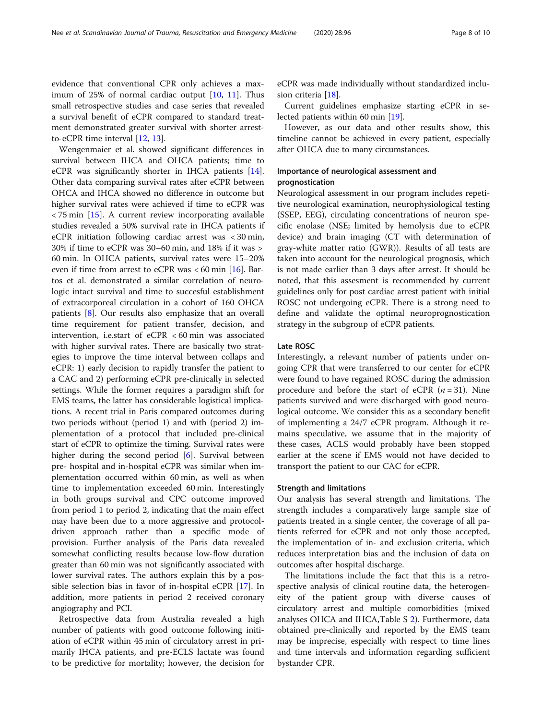evidence that conventional CPR only achieves a maximum of 25% of normal cardiac output  $[10, 11]$  $[10, 11]$  $[10, 11]$  $[10, 11]$ . Thus small retrospective studies and case series that revealed a survival benefit of eCPR compared to standard treatment demonstrated greater survival with shorter arrestto-eCPR time interval [\[12,](#page-9-0) [13\]](#page-9-0).

Wengenmaier et al. showed significant differences in survival between IHCA and OHCA patients; time to eCPR was significantly shorter in IHCA patients [\[14](#page-9-0)]. Other data comparing survival rates after eCPR between OHCA and IHCA showed no difference in outcome but higher survival rates were achieved if time to eCPR was  $\langle 75 \text{ min} \t{15}$ . A current review incorporating available studies revealed a 50% survival rate in IHCA patients if eCPR initiation following cardiac arrest was < 30 min, 30% if time to eCPR was 30–60 min, and 18% if it was > 60 min. In OHCA patients, survival rates were 15–20% even if time from arrest to eCPR was  $< 60$  min [[16\]](#page-9-0). Bartos et al. demonstrated a similar correlation of neurologic intact survival and time to succesful establishment of extracorporeal circulation in a cohort of 160 OHCA patients [\[8](#page-9-0)]. Our results also emphasize that an overall time requirement for patient transfer, decision, and intervention, i.e.start of eCPR < 60 min was associated with higher survival rates. There are basically two strategies to improve the time interval between collaps and eCPR: 1) early decision to rapidly transfer the patient to a CAC and 2) performing eCPR pre-clinically in selected settings. While the former requires a paradigm shift for EMS teams, the latter has considerable logistical implications. A recent trial in Paris compared outcomes during two periods without (period 1) and with (period 2) implementation of a protocol that included pre-clinical start of eCPR to optimize the timing. Survival rates were higher during the second period [\[6](#page-9-0)]. Survival between pre- hospital and in-hospital eCPR was similar when implementation occurred within 60 min, as well as when time to implementation exceeded 60 min. Interestingly in both groups survival and CPC outcome improved from period 1 to period 2, indicating that the main effect may have been due to a more aggressive and protocoldriven approach rather than a specific mode of provision. Further analysis of the Paris data revealed somewhat conflicting results because low-flow duration greater than 60 min was not significantly associated with lower survival rates. The authors explain this by a possible selection bias in favor of in-hospital eCPR [[17\]](#page-9-0). In addition, more patients in period 2 received coronary angiography and PCI.

Retrospective data from Australia revealed a high number of patients with good outcome following initiation of eCPR within 45 min of circulatory arrest in primarily IHCA patients, and pre-ECLS lactate was found to be predictive for mortality; however, the decision for eCPR was made individually without standardized inclusion criteria [\[18](#page-9-0)].

Current guidelines emphasize starting eCPR in selected patients within 60 min [[19](#page-9-0)].

However, as our data and other results show, this timeline cannot be achieved in every patient, especially after OHCA due to many circumstances.

# Importance of neurological assessment and prognostication

Neurological assessment in our program includes repetitive neurological examination, neurophysiological testing (SSEP, EEG), circulating concentrations of neuron specific enolase (NSE; limited by hemolysis due to eCPR device) and brain imaging (CT with determination of gray-white matter ratio (GWR)). Results of all tests are taken into account for the neurological prognosis, which is not made earlier than 3 days after arrest. It should be noted, that this assesment is recommended by current guidelines only for post cardiac arrest patient with initial ROSC not undergoing eCPR. There is a strong need to define and validate the optimal neuroprognostication strategy in the subgroup of eCPR patients.

# Late ROSC

Interestingly, a relevant number of patients under ongoing CPR that were transferred to our center for eCPR were found to have regained ROSC during the admission procedure and before the start of eCPR  $(n = 31)$ . Nine patients survived and were discharged with good neurological outcome. We consider this as a secondary benefit of implementing a 24/7 eCPR program. Although it remains speculative, we assume that in the majority of these cases, ACLS would probably have been stopped earlier at the scene if EMS would not have decided to transport the patient to our CAC for eCPR.

# Strength and limitations

Our analysis has several strength and limitations. The strength includes a comparatively large sample size of patients treated in a single center, the coverage of all patients referred for eCPR and not only those accepted, the implementation of in- and exclusion criteria, which reduces interpretation bias and the inclusion of data on outcomes after hospital discharge.

The limitations include the fact that this is a retrospective analysis of clinical routine data, the heterogeneity of the patient group with diverse causes of circulatory arrest and multiple comorbidities (mixed analyses OHCA and IHCA,Table S [2\)](#page-8-0). Furthermore, data obtained pre-clinically and reported by the EMS team may be imprecise, especially with respect to time lines and time intervals and information regarding sufficient bystander CPR.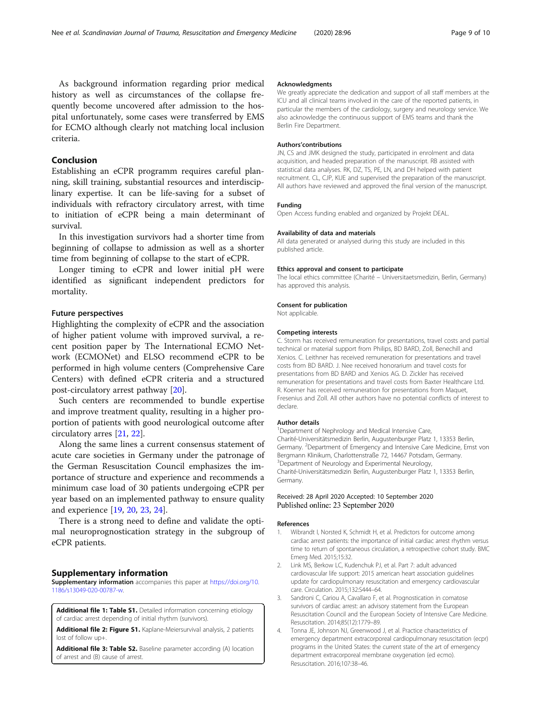<span id="page-8-0"></span>As background information regarding prior medical history as well as circumstances of the collapse frequently become uncovered after admission to the hospital unfortunately, some cases were transferred by EMS for ECMO although clearly not matching local inclusion criteria.

# Conclusion

Establishing an eCPR programm requires careful planning, skill training, substantial resources and interdisciplinary expertise. It can be life-saving for a subset of individuals with refractory circulatory arrest, with time to initiation of eCPR being a main determinant of survival.

In this investigation survivors had a shorter time from beginning of collapse to admission as well as a shorter time from beginning of collapse to the start of eCPR.

Longer timing to eCPR and lower initial pH were identified as significant independent predictors for mortality.

# Future perspectives

Highlighting the complexity of eCPR and the association of higher patient volume with improved survival, a recent position paper by The International ECMO Network (ECMONet) and ELSO recommend eCPR to be performed in high volume centers (Comprehensive Care Centers) with defined eCPR criteria and a structured post-circulatory arrest pathway [\[20\]](#page-9-0).

Such centers are recommended to bundle expertise and improve treatment quality, resulting in a higher proportion of patients with good neurological outcome after circulatory arres [\[21](#page-9-0), [22](#page-9-0)].

Along the same lines a current consensus statement of acute care societies in Germany under the patronage of the German Resuscitation Council emphasizes the importance of structure and experience and recommends a minimum case load of 30 patients undergoing eCPR per year based on an implemented pathway to ensure quality and experience [\[19](#page-9-0), [20](#page-9-0), [23](#page-9-0), [24\]](#page-9-0).

There is a strong need to define and validate the optimal neuroprognostication strategy in the subgroup of eCPR patients.

# Supplementary information

Supplementary information accompanies this paper at [https://doi.org/10.](https://doi.org/10.1186/s13049-020-00787-w) [1186/s13049-020-00787-w](https://doi.org/10.1186/s13049-020-00787-w).

Additional file 1: Table S1. Detailed information concerning etiology of cardiac arrest depending of initial rhythm (survivors).

Additional file 2: Figure S1. Kaplane-Meiersurvival analysis, 2 patients lost of follow up+.

Additional file 3: Table S2. Baseline parameter according (A) location of arrest and (B) cause of arrest.

# Acknowledgments

We greatly appreciate the dedication and support of all staff members at the ICU and all clinical teams involved in the care of the reported patients, in particular the members of the cardiology, surgery and neurology service. We also acknowledge the continuous support of EMS teams and thank the Berlin Fire Department.

#### Authors'contributions

JN, CS and JMK designed the study, participated in enrolment and data acquisition, and headed preparation of the manuscript. RB assisted with statistical data analyses. RK, DZ, TS, PE, LN, and DH helped with patient recruitment. CL, CJP, KUE and supervised the preparation of the manuscript. All authors have reviewed and approved the final version of the manuscript.

#### Funding

Open Access funding enabled and organized by Projekt DEAL.

# Availability of data and materials

All data generated or analysed during this study are included in this published article.

#### Ethics approval and consent to participate

The local ethics committee (Charité – Universitaetsmedizin, Berlin, Germany) has approved this analysis.

#### Consent for publication

Not applicable.

# Competing interests

C. Storm has received remuneration for presentations, travel costs and partial technical or material support from Philips, BD BARD, Zoll, Benechill and Xenios. C. Leithner has received remuneration for presentations and travel costs from BD BARD. J. Nee received honorarium and travel costs for presentations from BD BARD and Xenios AG. D. Zickler has received remuneration for presentations and travel costs from Baxter Healthcare Ltd. R. Koerner has received remuneration for presentations from Maquet, Fresenius and Zoll. All other authors have no potential conflicts of interest to declare.

# Author details

<sup>1</sup> Department of Nephrology and Medical Intensive Care, Charité-Universitätsmedizin Berlin, Augustenburger Platz 1, 13353 Berlin, Germany. <sup>2</sup>Department of Emergency and Intensive Care Medicine, Ernst von Bergmann Klinikum, Charlottenstraße 72, 14467 Potsdam, Germany. <sup>3</sup>Department of Neurology and Experimental Neurology Charité-Universitätsmedizin Berlin, Augustenburger Platz 1, 13353 Berlin, Germany.

# Received: 28 April 2020 Accepted: 10 September 2020 Published online: 23 September 2020

#### References

- 1. Wibrandt I, Norsted K, Schmidt H, et al. Predictors for outcome among cardiac arrest patients: the importance of initial cardiac arrest rhythm versus time to return of spontaneous circulation, a retrospective cohort study. BMC Emerg Med. 2015;15:32.
- 2. Link MS, Berkow LC, Kudenchuk PJ, et al. Part 7: adult advanced cardiovascular life support: 2015 american heart association guidelines update for cardiopulmonary resuscitation and emergency cardiovascular care. Circulation. 2015;132:S444–64.
- 3. Sandroni C, Cariou A, Cavallaro F, et al. Prognostication in comatose survivors of cardiac arrest: an advisory statement from the European Resuscitation Council and the European Society of Intensive Care Medicine. Resuscitation. 2014;85(12):1779–89.
- 4. Tonna JE, Johnson NJ, Greenwood J, et al. Practice characteristics of emergency department extracorporeal cardiopulmonary resuscitation (ecpr) programs in the United States: the current state of the art of emergency department extracorporeal membrane oxygenation (ed ecmo). Resuscitation. 2016;107:38–46.